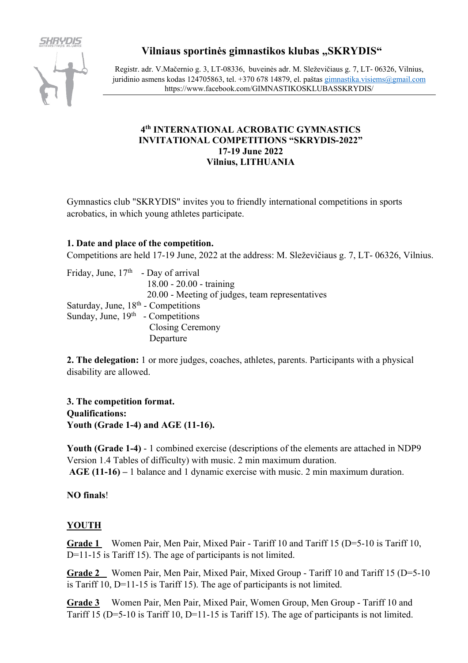

# **Vilniaus sportinės gimnastikos klubas "SKRYDIS"**

Registr. adr. V.Mačernio g. 3, LT-08336, buveinės adr. M. Sleževičiaus g. 7, LT- 06326, Vilnius, juridinio asmens kodas 124705863, tel. +370 678 14879, el. paštas gimnastika.visiems@gmail.com https://www.facebook.com/GIMNASTIKOSKLUBASSKRYDIS/

# **4th INTERNATIONAL ACROBATIC GYMNASTICS INVITATIONAL COMPETITIONS "SKRYDIS-2022" 17-19 June 2022 Vilnius, LITHUANIA**

Gymnastics club "SKRYDIS" invites you to friendly international competitions in sports acrobatics, in which young athletes participate.

# **1. Date and place of the competition.**

Competitions are held 17-19 June, 2022 at the address: M. Sleževičiaus g. 7, LT- 06326, Vilnius.

| Friday, June, $17th$ - Day of arrival |                                                 |
|---------------------------------------|-------------------------------------------------|
|                                       | $18.00 - 20.00 - training$                      |
|                                       | 20.00 - Meeting of judges, team representatives |
| Saturday, June, $18th$ - Competitions |                                                 |
| Sunday, June, $19th$ - Competitions   |                                                 |
|                                       | Closing Ceremony                                |
|                                       | Departure                                       |

**2. The delegation:** 1 or more judges, coaches, athletes, parents. Participants with a physical disability are allowed.

**3. The competition format. Qualifications: Youth (Grade 1-4) and AGE (11-16).**

**Youth (Grade 1-4)** - 1 combined exercise (descriptions of the elements are attached in NDP9 Version 1.4 Tables of difficulty) with music. 2 min maximum duration. **AGE (11-16) –** 1 balance and 1 dynamic exercise with music. 2 min maximum duration.

## **NO finals**!

# **YOUTH**

**Grade 1** Women Pair, Men Pair, Mixed Pair - Tariff 10 and Tariff 15 (D=5-10 is Tariff 10, D=11-15 is Tariff 15). The age of participants is not limited.

**Grade 2** Women Pair, Men Pair, Mixed Pair, Mixed Group - Tariff 10 and Tariff 15 (D=5-10 is Tariff 10, D=11-15 is Tariff 15). The age of participants is not limited.

**Grade 3** Women Pair, Men Pair, Mixed Pair, Women Group, Men Group - Tariff 10 and Tariff 15 (D=5-10 is Tariff 10, D=11-15 is Tariff 15). The age of participants is not limited.